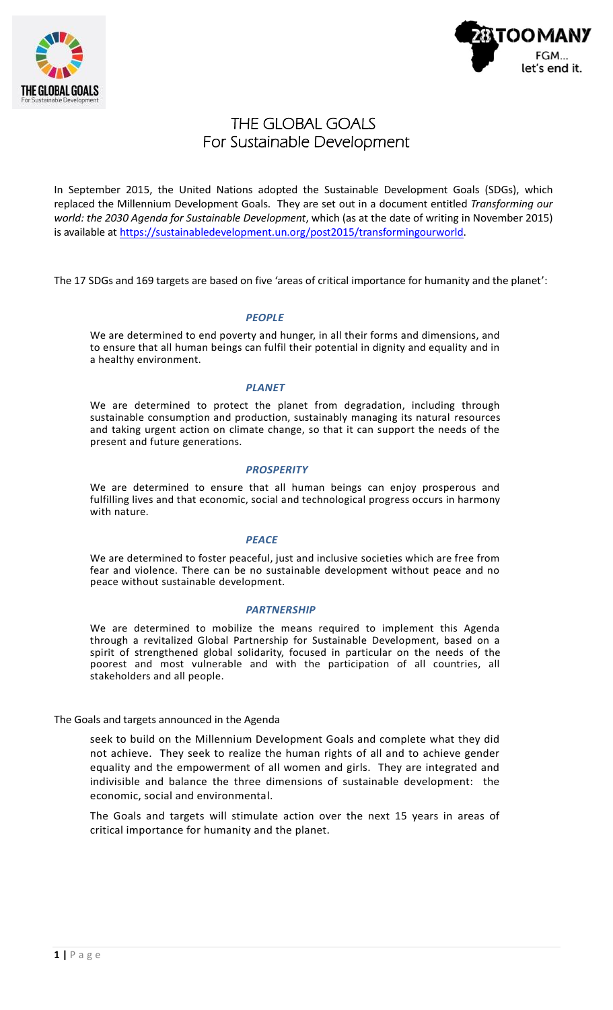



# THE GLOBAL GOALS For Sustainable Development

In September 2015, the United Nations adopted the Sustainable Development Goals (SDGs), which replaced the Millennium Development Goals. They are set out in a document entitled *Transforming our world: the 2030 Agenda for Sustainable Development*, which (as at the date of writing in November 2015) is available at [https://sustainabledevelopment.un.org/post2015/transformingourworld.](https://sustainabledevelopment.un.org/post2015/transformingourworld)

The 17 SDGs and 169 targets are based on five 'areas of critical importance for humanity and the planet':

## *PEOPLE*

We are determined to end poverty and hunger, in all their forms and dimensions, and to ensure that all human beings can fulfil their potential in dignity and equality and in a healthy environment.

### *PLANET*

We are determined to protect the planet from degradation, including through sustainable consumption and production, sustainably managing its natural resources and taking urgent action on climate change, so that it can support the needs of the present and future generations.

### *PROSPERITY*

We are determined to ensure that all human beings can enjoy prosperous and fulfilling lives and that economic, social and technological progress occurs in harmony with nature.

### *PEACE*

We are determined to foster peaceful, just and inclusive societies which are free from fear and violence. There can be no sustainable development without peace and no peace without sustainable development.

### *PARTNERSHIP*

We are determined to mobilize the means required to implement this Agenda through a revitalized Global Partnership for Sustainable Development, based on a spirit of strengthened global solidarity, focused in particular on the needs of the poorest and most vulnerable and with the participation of all countries, all stakeholders and all people.

The Goals and targets announced in the Agenda

seek to build on the Millennium Development Goals and complete what they did not achieve. They seek to realize the human rights of all and to achieve gender equality and the empowerment of all women and girls. They are integrated and indivisible and balance the three dimensions of sustainable development: the economic, social and environmental.

The Goals and targets will stimulate action over the next 15 years in areas of critical importance for humanity and the planet.